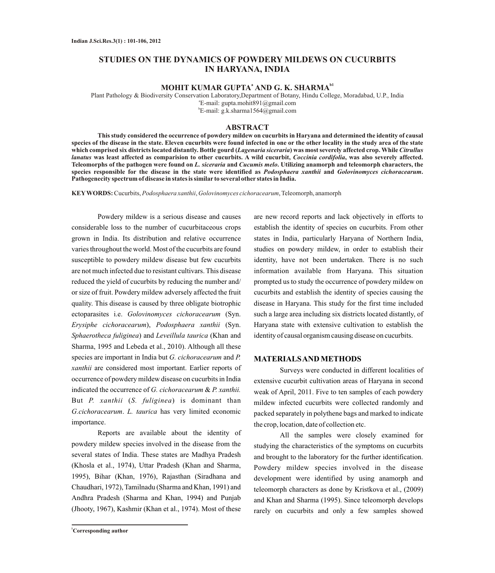# **STUDIES ON THE DYNAMICS OF POWDERY MILDEWS ON CUCURBITS IN HARYANA, INDIA**

#### **<sup>a</sup> b1 MOHIT KUMAR GUPTA AND G. K. SHARMA**

Plant Pathology & Biodiversity Conservation Laboratory,Department of Botany, Hindu College, Moradabad, U.P., India a E-mail: gupta.mohit891@gmail.com b E-mail: g.k.sharma1564@gmail.com

### **ABSTRACT**

**This study considered the occurrence of powdery mildew on cucurbits in Haryana and determined the identity of causal species of the disease in the state. Eleven cucurbits were found infected in one or the other locality in the study area of the state which comprised six districts located distantly. Bottle gourd (***Lagenaria siceraria***) was most severely affected crop. While** *Citrullus lanatus* **was least affected as comparision to other cucurbits. A wild cucurbit,** *Coccinia cordifolia***, was also severely affected. Teleomorphs of the pathogen were found on** *L. siceraria* **and** *Cucumis melo***. Utilizing anamorph and teleomorph characters, the species responsible for the disease in the state were identified as** *Podosphaera xanthii* **and** *Golovinomyces cichoracearum***. Pathogenecity spectrum of disease in states is similar to several other states in India.** 

**KEYWORDS:** Cucurbits, *Podosphaera xanthii*, *Golovinomyces cichoracearum*, Teleomorph, anamorph

Powdery mildew is a serious disease and causes considerable loss to the number of cucurbitaceous crops grown in India. Its distribution and relative occurrence varies throughout the world. Most of the cucurbits are found susceptible to powdery mildew disease but few cucurbits are not much infected due to resistant cultivars. This disease reduced the yield of cucurbits by reducing the number and/ or size of fruit. Powdery mildew adversely affected the fruit quality. This disease is caused by three obligate biotrophic ectoparasites i.e. *Golovinomyces cichoracearum* (Syn. *Erysiphe cichoracearum*), *Podosphaera xanthii* (Syn. *Sphaerotheca fuliginea*) and *Leveillula taurica* (Khan and Sharma, 1995 and Lebeda et al., 2010). Although all these species are important in India but *G. cichoracearum* and *P. xanthii* are considered most important. Earlier reports of occurrence of powdery mildew disease on cucurbits in India indicated the occurrence of *G. cichoracearum* & *P. xanthii.*  But *P. xanthii* (*S. fuliginea*) is dominant than *G.cichoracearum*. *L. taurica* has very limited economic importance.

Reports are available about the identity of powdery mildew species involved in the disease from the several states of India. These states are Madhya Pradesh (Khosla et al., 1974), Uttar Pradesh (Khan and Sharma, 1995), Bihar (Khan, 1976), Rajasthan (Siradhana and Chaudhari, 1972), Tamilnadu (Sharma and Khan, 1991) and Andhra Pradesh (Sharma and Khan, 1994) and Punjab (Jhooty, 1967), Kashmir (Khan et al., 1974). Most of these

**<sup>1</sup>Corresponding author**

are new record reports and lack objectively in efforts to establish the identity of species on cucurbits. From other states in India, particularly Haryana of Northern India, studies on powdery mildew, in order to establish their identity, have not been undertaken. There is no such information available from Haryana. This situation prompted us to study the occurrence of powdery mildew on cucurbits and establish the identity of species causing the disease in Haryana. This study for the first time included such a large area including six districts located distantly, of Haryana state with extensive cultivation to establish the identity of causal organism causing disease on cucurbits.

# **MATERIALS AND METHODS**

Surveys were conducted in different localities of extensive cucurbit cultivation areas of Haryana in second weak of April, 2011. Five to ten samples of each powdery mildew infected cucurbits were collected randomly and packed separately in polythene bags and marked to indicate the crop, location, date of collection etc.

All the samples were closely examined for studying the characteristics of the symptoms on cucurbits and brought to the laboratory for the further identification. Powdery mildew species involved in the disease development were identified by using anamorph and teleomorph characters as done by Kristkova et al., (2009) and Khan and Sharma (1995). Since teleomorph develops rarely on cucurbits and only a few samples showed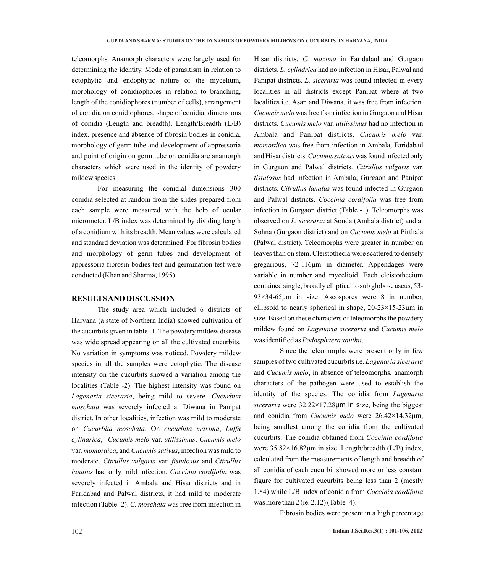teleomorphs. Anamorph characters were largely used for determining the identity. Mode of parasitism in relation to ectophytic and endophytic nature of the mycelium, morphology of conidiophores in relation to branching, length of the conidiophores (number of cells), arrangement of conidia on conidiophores, shape of conidia, dimensions of conidia (Length and breadth), Length/Breadth (L/B) index, presence and absence of fibrosin bodies in conidia, morphology of germ tube and development of appressoria and point of origin on germ tube on conidia are anamorph characters which were used in the identity of powdery mildew species.

For measuring the conidial dimensions 300 conidia selected at random from the slides prepared from each sample were measured with the help of ocular micrometer. L/B index was determined by dividing length of a conidium with its breadth. Mean values were calculated and standard deviation was determined. For fibrosin bodies and morphology of germ tubes and development of appressoria fibrosin bodies test and germination test were conducted (Khan and Sharma, 1995).

### **RESULTS AND DISCUSSION**

The study area which included 6 districts of Haryana (a state of Northern India) showed cultivation of the cucurbits given in table -1. The powdery mildew disease was wide spread appearing on all the cultivated cucurbits. No variation in symptoms was noticed. Powdery mildew species in all the samples were ectophytic. The disease intensity on the cucurbits showed a variation among the localities (Table -2). The highest intensity was found on *Lagenaria siceraria*, being mild to severe. *Cucurbita moschata* was severely infected at Diwana in Panipat district. In other localities, infection was mild to moderate on *Cucurbita moschata*. On *cucurbita maxima*, *Luffa cylindrica*, *Cucumis melo* var. *utilissimus*, *Cucumis melo*  var. *momordica*, and *Cucumis sativus*, infection was mild to moderate. *Citrullus vulgaris* var. *fistulosus* and *Citrullus lanatus* had only mild infection. *Coccinia cordifolia* was severely infected in Ambala and Hisar districts and in Faridabad and Palwal districts, it had mild to moderate infection (Table -2). *C. moschata* was free from infection in

Hisar districts, *C. maxima* in Faridabad and Gurgaon districts. *L. cylindrica* had no infection in Hisar, Palwal and Panipat districts. *L. siceraria* was found infected in every localities in all districts except Panipat where at two lacalities i.e. Asan and Diwana, it was free from infection. *Cucumis melo* was free from infection in Gurgaon and Hisar districts. *Cucumis melo* var. *utilissimus* had no infection in Ambala and Panipat districts. *Cucumis melo* var. *momordica* was free from infection in Ambala, Faridabad and Hisar districts. *Cucumis sativus* was found infected only in Gurgaon and Palwal districts. *Citrullus vulgaris* var. *fistulosus* had infection in Ambala, Gurgaon and Panipat districts. *Citrullus lanatus* was found infected in Gurgaon and Palwal districts. *Coccinia cordifolia* was free from infection in Gurgaon district (Table -1). Teleomorphs was observed on *L. siceraria* at Sonda (Ambala district) and at Sohna (Gurgaon district) and on *Cucumis melo* at Pirthala (Palwal district). Teleomorphs were greater in number on leaves than on stem. Cleistothecia were scattered to densely gregarious, 72-116μm in diameter. Appendages were variable in number and mycelioid. Each cleistothecium contained single, broadly elliptical to sub globose ascus, 53- 93×34-65μm in size. Ascospores were 8 in number, ellipsoid to nearly spherical in shape,  $20-23\times15-23\mu m$  in size. Based on these characters of teleomorphs the powdery mildew found on *Lagenaria siceraria* and *Cucumis melo* was identified as *Podosphaera xanthii*.

Since the teleomorphs were present only in few samples of two cultivated cucurbits i.e. *Lagenaria siceraria* and *Cucumis melo*, in absence of teleomorphs, anamorph characters of the pathogen were used to establish the identity of the species. The conidia from *Lagenaria siceraria* were 32.22×17.28μm in size, being the biggest and conidia from *Cucumis melo* were 26.42×14.32μm, being smallest among the conidia from the cultivated cucurbits. The conidia obtained from *Coccinia cordifolia* were 35.82×16.82μm in size. Length/breadth (L/B) index, calculated from the measurements of length and breadth of all conidia of each cucurbit showed more or less constant figure for cultivated cucurbits being less than 2 (mostly 1.84) while L/B index of conidia from *Coccinia cordifolia* was more than 2 (ie. 2.12) (Table -4).

Fibrosin bodies were present in a high percentage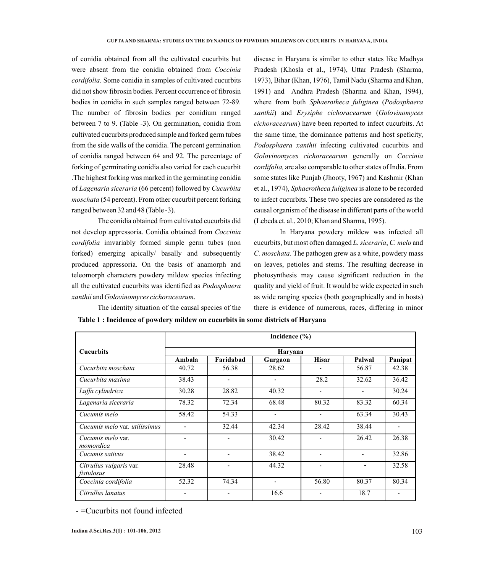of conidia obtained from all the cultivated cucurbits but were absent from the conidia obtained from *Coccinia cordifolia*. Some conidia in samples of cultivated cucurbits did not show fibrosin bodies. Percent occurrence of fibrosin bodies in conidia in such samples ranged between 72-89. The number of fibrosin bodies per conidium ranged between 7 to 9. (Table -3). On germination, conidia from cultivated cucurbits produced simple and forked germ tubes from the side walls of the conidia. The percent germination of conidia ranged between 64 and 92. The percentage of forking of germinating conidia also varied for each cucurbit .The highest forking was marked in the germinating conidia of *Lagenaria siceraria* (66 percent) followed by *Cucurbita moschata* (54 percent). From other cucurbit percent forking ranged between 32 and 48 (Table -3).

The conidia obtained from cultivated cucurbits did not develop appressoria. Conidia obtained from *Coccinia cordifolia* imvariably formed simple germ tubes (non forked) emerging apically/ basally and subsequently produced appressoria. On the basis of anamorph and teleomorph characters powdery mildew species infecting all the cultivated cucurbits was identified as *Podosphaera xanthii* and *Golovinomyces cichoracearum*.

The identity situation of the causal species of the

disease in Haryana is similar to other states like Madhya Pradesh (Khosla et al., 1974), Uttar Pradesh (Sharma, 1973), Bihar (Khan, 1976), Tamil Nadu (Sharma and Khan, 1991) and Andhra Pradesh (Sharma and Khan, 1994), where from both *Sphaerotheca fuliginea* (*Podosphaera xanthii*) and *Erysiphe cichoracearum* (*Golovinomyces cichoracearum*) have been reported to infect cucurbits. At the same time, the dominance patterns and host speficity, *Podosphaera xanthii* infecting cultivated cucurbits and *Golovinomyces cichoracearum* generally on *Coccinia cordifolia,* are also comparable to other states of India. From some states like Punjab (Jhooty, 1967) and Kashmir (Khan et al., 1974), *Sphaerotheca fuliginea* is alone to be recorded to infect cucurbits. These two species are considered as the causal organism of the disease in different parts of the world (Lebeda et. al., 2010; Khan and Sharma, 1995).

In Haryana powdery mildew was infected all cucurbits, but most often damaged *L. siceraria*, *C. melo* and *C. moschata*. The pathogen grew as a white, powdery mass on leaves, petioles and stems. The resulting decrease in photosynthesis may cause significant reduction in the quality and yield of fruit. It would be wide expected in such as wide ranging species (both geographically and in hosts) there is evidence of numerous, races, differing in minor

|                                       | Incidence $(\% )$<br>Haryana |                |                |                |                |         |  |  |  |  |
|---------------------------------------|------------------------------|----------------|----------------|----------------|----------------|---------|--|--|--|--|
| <b>Cucurbits</b>                      |                              |                |                |                |                |         |  |  |  |  |
|                                       | Ambala                       | Faridabad      | Gurgaon        | <b>Hisar</b>   | Palwal         | Panipat |  |  |  |  |
| Cucurbita moschata                    | 40.72                        | 56.38          | 28.62          |                | 56.87          | 42.38   |  |  |  |  |
| Cucurbita maxima                      | 38.43                        | ٠              | ٠              | 28.2           | 32.62          | 36.42   |  |  |  |  |
| Luffa cylindrica                      | 30.28                        | 28.82          | 40.32          | ٠              | $\blacksquare$ | 30.24   |  |  |  |  |
| Lagenaria siceraria                   | 78.32                        | 72.34          | 68.48          | 80.32          | 83.32          | 60.34   |  |  |  |  |
| Cucumis melo                          | 58.42                        | 54.33          | $\blacksquare$ | ٠              | 63.34          | 30.43   |  |  |  |  |
| Cucumis melo var. utilissimus         | ٠                            | 32.44          | 42.34          | 28.42          | 38.44          | ٠       |  |  |  |  |
| Cucumis melo var.<br>momordica        | ٠                            | ٠              | 30.42          | $\blacksquare$ | 26.42          | 26.38   |  |  |  |  |
| Cucumis sativus                       | ٠                            | ۰              | 38.42          | ٠              | $\blacksquare$ | 32.86   |  |  |  |  |
| Citrullus vulgaris var.<br>fistulosus | 28.48                        | $\blacksquare$ | 44.32          | ٠              | ٠              | 32.58   |  |  |  |  |
| Coccinia cordifolia                   | 52.32                        | 74.34          | ٠              | 56.80          | 80.37          | 80.34   |  |  |  |  |
| Citrullus lanatus                     |                              |                | 16.6           |                | 18.7           |         |  |  |  |  |

**Table 1 : Incidence of powdery mildew on cucurbits in some districts of Haryana**

- =Cucurbits not found infected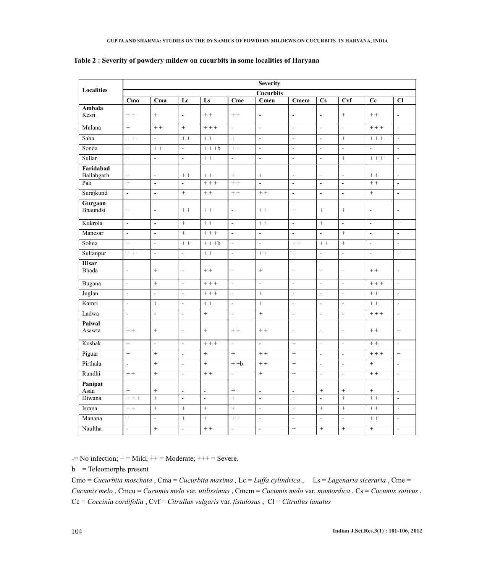|                         | <b>Severity</b>          |                          |                          |                |                          |                          |                    |                          |                          |                          |                          |
|-------------------------|--------------------------|--------------------------|--------------------------|----------------|--------------------------|--------------------------|--------------------|--------------------------|--------------------------|--------------------------|--------------------------|
| <b>Localities</b>       |                          |                          |                          |                |                          | <b>Cucurbits</b>         |                    |                          |                          |                          |                          |
|                         | Cm <sub>0</sub>          | Cma                      | Lc                       | Ls             | Cme                      | Cmeu                     | Cmem               | $\mathbf{C}\mathbf{s}$   | <b>Cvf</b>               | $\bf{C}$                 | C1                       |
| Ambala<br>Kesri         | $++$                     | $+$                      | $\overline{\phantom{a}}$ | $++$           | $++$                     | $\blacksquare$           | $\blacksquare$     | $\blacksquare$           | $+$                      | $++$                     | $\blacksquare$           |
| Mulana                  | $+$                      | $+ +$                    | $+$                      | $+++$          | L.                       | $\mathbf{r}$             | $\overline{a}$     | $\sim$                   | L.                       | $++ +$                   | $\sim$                   |
| Saha                    | $+ +$                    | ÷.                       | $+ +$                    | $++$           | $^{+}$                   | $\overline{\phantom{a}}$ | $\overline{a}$     | $\omega$                 | $+$                      | $++ +$                   | $\overline{a}$           |
| Sonda                   | $\! +$                   | $++$                     | $\Box$                   | $+++b$         | $++$                     | $\Box$                   | $\mathbf{r}$       | $\omega$                 | $\omega$                 | $\omega$                 | $\blacksquare$           |
| Sullar                  | $+$                      | L.                       | $\overline{a}$           | $++$           | $\overline{a}$           | $\overline{a}$           | $\overline{a}$     | $\mathbf{r}$             | $+$                      | $++$                     | $\mathbb{Z}^2$           |
| Faridabad<br>Ballabgarh | $\! + \!$                | $\overline{\phantom{a}}$ | $++$                     | $\, +$ $+$     | $+$                      |                          | $\blacksquare$     | $\sim$                   | $\omega$                 | $\, +$ $+$               | $\sim$                   |
| Pali                    | $+$                      | $\overline{a}$           | $\overline{a}$           | $+++$          | $+ +$                    | $\overline{a}$           | $\overline{a}$     | $\overline{a}$           | $\overline{a}$           | $+ +$                    | $\ddot{\phantom{a}}$     |
| Surajkund               | $\overline{a}$           | $\overline{a}$           | $+$                      | $++$           | $+ +$                    | $+ +$                    | $\overline{a}$     | $\overline{a}$           | $\overline{a}$           | $+$                      | $\ddot{\phantom{a}}$     |
| Gurgaon<br>Bhaundsi     | $\boldsymbol{+}$         | $\blacksquare$           | $+ +$                    | $++$           | $\Box$                   | $++$                     | $\! +$             | $\boldsymbol{+}$         | $+$                      | $\Box$                   | $\sim$                   |
| Kukrola                 | $\overline{a}$           | $\overline{\phantom{a}}$ | $+$                      | $++$           | $\overline{\phantom{a}}$ | $+ +$                    | $\mathbf{r}$       | $+$                      | $\blacksquare$           | $\blacksquare$           | $+$                      |
| Manesar                 | $\Box$                   | $\overline{\phantom{a}}$ | $+$                      | $+ + +$        | $\bar{\phantom{a}}$      | $\Box$                   | $\bar{\mathbf{z}}$ | $\omega$                 | $+$                      | $\overline{\phantom{a}}$ | $\bar{\phantom{a}}$      |
| Sohna                   | $+$                      | $\overline{\phantom{a}}$ | $+ +$                    | $+++b$         | $\Box$                   | $\overline{\phantom{a}}$ | $+ +$              | $+ +$                    | $^{+}$                   | $\Box$                   | $\sim$                   |
| Sultanpur               | $++$                     | $\frac{1}{2}$            | $\overline{a}$           | $++$           | $\mathbb{Z}^2$           | $+ +$                    | $^{+}$             | $\mathbb{Z}^2$           | $\overline{a}$           | $\mathbb{Z}^2$           | $\, +$                   |
| <b>Hisar</b><br>Bhada   | $\blacksquare$           | $+$                      | ä,                       | $++$           | $\blacksquare$           | $+$                      | $\omega$           | $\overline{a}$           | $\omega$                 | $++$                     | $\blacksquare$           |
| Bugana                  | $\overline{\phantom{a}}$ | $+$                      | $\overline{\phantom{a}}$ | $++$           | $\overline{\phantom{a}}$ | $\overline{\phantom{a}}$ | $\Box$             | $\omega$                 | $\Box$                   | $+++$                    | $\mathbb{Z}^2$           |
| Juglan                  | L.                       | $\overline{a}$           | $\overline{a}$           | $+++$          | $\mathbf{r}$             | $\ddot{}$                | $\mathbb{Z}^2$     | $\overline{\phantom{a}}$ | L.                       | $++$                     | $\sim$                   |
| Kamri                   | $\overline{a}$           | $+$                      | $\overline{a}$           | $++$           | $\mathbf{r}$             | $^{+}$                   | $\mathbf{r}$       | $\omega$                 | $\mathbb{Z}^2$           | $++$                     | $\sim$                   |
| Ladwa                   | $\Box$                   | $\overline{a}$           | $\overline{a}$           | $+$            | $\overline{\phantom{a}}$ | $^{+}$                   | $\Box$             | $\overline{\phantom{a}}$ | $\overline{\phantom{a}}$ | $++ +$                   | $\overline{\phantom{a}}$ |
| Palwal<br>Asawta        | $++$                     | $+$                      | ÷,                       | $+$            | $++$                     | $++$                     | $\overline{a}$     | $\overline{a}$           | $\tilde{\phantom{a}}$    | $++$                     | $+$                      |
| Kushak                  | $+$                      | $\overline{a}$           | $\overline{a}$           | $+++$          | $\overline{\phantom{a}}$ | $\overline{a}$           | $+$                | $\mathbf{r}$             | $\Box$                   | $++$                     | $\overline{a}$           |
| Piguar                  | $+$                      | $+$                      | $\overline{a}$           | $+$            | $+$                      | $++$                     | $+$                | $\mathbf{L}$             | $\overline{a}$           | $++ +$                   | $+$                      |
| Pirthala                | $\overline{a}$           | $+$                      | $\overline{a}$           | $+$            | $+ +b$                   | $+ +$                    | $+$                | $\mathbf{r}$             | $\overline{\phantom{a}}$ | $+$                      | $\ddot{\phantom{a}}$     |
| Rundhi                  | $+ +$                    | $+$                      | $\overline{a}$           | $+ +$          | $\overline{\phantom{a}}$ | $+$                      | $+$                | $\sim$                   | $\overline{a}$           | $++$                     | $\overline{\phantom{a}}$ |
| Panipat<br>Asan         | $\! + \!\!\!\!$          |                          | $\blacksquare$           | $\blacksquare$ | $\! + \!\!\!\!$          | $\blacksquare$           | $\blacksquare$     | $^{+}$                   |                          | $\! + \!$                | $\blacksquare$           |
| Diwana                  | $+++$                    | $\ddot{}$                | $\overline{a}$           | $\mathbf{r}$   | $\ddot{}$                | $\mathbf{r}$             | $+$                | $\overline{a}$           | $+$                      | $+$                      | $\overline{\phantom{a}}$ |
| Israna                  | $+ +$                    | $\ddot{}$                | $+$                      | $+$            | $+$                      | $\sim$                   | $+$                | $+$                      | $+$                      | $++$                     | $\sim$                   |
| Manana                  | $+$                      | $\bar{\phantom{a}}$      | $+$                      | $+$            | $+ +$                    | ÷,                       | $\blacksquare$     | $\blacksquare$           | ÷,                       | $++$                     | $\sim$                   |
| Naultha                 | $\overline{a}$           | $^{+}$                   | $\overline{a}$           | $+ +$          | $\overline{\phantom{a}}$ | $\overline{a}$           | $+$                | $+$                      | $^{+}$                   | $+$                      | $\overline{\phantom{a}}$ |

# **Table 2 : Severity of powdery mildew on cucurbits in some localities of Haryana**

 $-$  No infection;  $+$  = Mild;  $++$  = Moderate;  $++$  = Severe.

b = Teleomorphs present

Cmo = *Cucurbita moschata* , Cma = *Cucurbita maxima ,* Lc = *Luffa cylindrica* , Ls = *Lagenaria siceraria* , Cme = *Cucumis melo* , Cmeu = *Cucumis melo* var. *utilissimus* , Cmem = *Cucumis melo* var. *momordica* , Cs = *Cucumis sativus* , Cc = *Coccinia cordifolia* , Cvf = *Citrullus vulgaris* var. *fistulosus* , Cl = *Citrullus lanatus*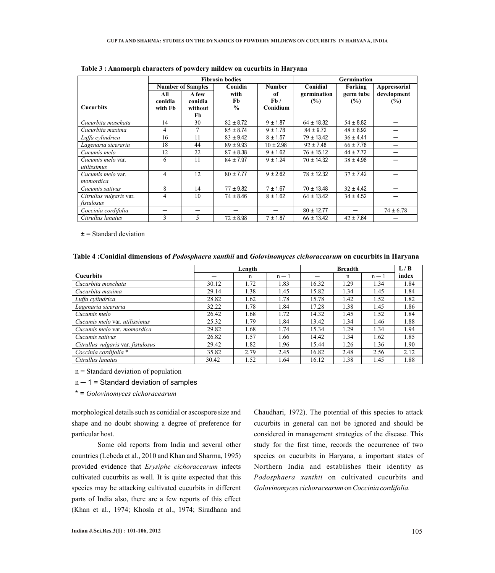|                         | <b>Fibrosin bodies</b>   |                |               |               | <b>Germination</b> |               |                     |  |
|-------------------------|--------------------------|----------------|---------------|---------------|--------------------|---------------|---------------------|--|
|                         | <b>Number of Samples</b> |                | Conidia       | <b>Number</b> | Conidial           | Forking       | <b>Appressorial</b> |  |
|                         | All                      | A few          | with          | of            | germination        | germ tube     | development         |  |
|                         | conidia                  | conidia        | Fb            | Fb/           | (%)                | (%)           | (%)                 |  |
| <b>Cucurbits</b>        | with Fb                  | without        | $\frac{0}{0}$ | Conidium      |                    |               |                     |  |
|                         |                          | Fb             |               |               |                    |               |                     |  |
| Cucurbita moschata      | 14                       | 30             | $82 \pm 8.72$ | $9 + 1.87$    | $64 \pm 18.32$     | $54 \pm 8.82$ |                     |  |
| Cucurbita maxima        | 4                        | $\overline{7}$ | $85 \pm 8.74$ | $9 + 1.78$    | $84 \pm 9.72$      | $48 \pm 8.92$ |                     |  |
| Luffa cylindrica        | 16                       | 11             | $83 \pm 9.42$ | $8 + 1.57$    | $79 \pm 13.42$     | $36 \pm 4.41$ |                     |  |
| Lagenaria siceraria     | 18                       | 44             | $89 \pm 9.93$ | $10 \pm 2.98$ | $92 \pm 7.48$      | $66 \pm 7.78$ |                     |  |
| Cucumis melo            | 12                       | 22             | $87 \pm 8.38$ | $9 \pm 1.62$  | $76 \pm 15.12$     | $44 \pm 7.72$ |                     |  |
| Cucumis melo var.       | 6                        | 11             | $84 \pm 7.97$ | $9 + 1.24$    | $70 \pm 14.32$     | $38 \pm 4.98$ |                     |  |
| utilissimus             |                          |                |               |               |                    |               |                     |  |
| Cucumis melo var.       | 4                        | 12             | $80 \pm 7.77$ | $9 + 2.62$    | $78 \pm 12.32$     | $37 + 7.42$   |                     |  |
| momordica               |                          |                |               |               |                    |               |                     |  |
| Cucumis sativus         | 8                        | 14             | $77 \pm 9.82$ | $7 + 1.67$    | $70 \pm 13.48$     | $32 \pm 4.42$ |                     |  |
| Citrullus vulgaris var. | 4                        | 10             | $74 \pm 8.46$ | $8 \pm 1.62$  | $64 \pm 13.42$     | $34 \pm 4.52$ |                     |  |
| fistulosus              |                          |                |               |               |                    |               |                     |  |
| Coccinia cordifolia     |                          | –              |               |               | $80 \pm 12.77$     |               | $74 \pm 6.78$       |  |
| Citrullus lanatus       | 3                        | 5              | $72 \pm 8.98$ | $7 + 1.87$    | $66 \pm 13.42$     | $42 \pm 7.64$ |                     |  |

**Table 3 : Anamorph characters of powdery mildew on cucurbits in Haryana**

 $\pm$  = Standard deviation

**Table 4 :Conidial dimensions of** *Podosphaera xanthii* **and** *Golovinomyces cichoracearum* **on cucurbits in Haryana**

|                                    | Length |      |       |       | L/B  |       |       |
|------------------------------------|--------|------|-------|-------|------|-------|-------|
| <b>Cucurbits</b>                   |        | n    | $n-1$ |       | n    | $n-1$ | index |
| Cucurbita moschata                 | 30.12  | 1.72 | 1.83  | 16.32 | 1.29 | 1.34  | 1.84  |
| Cucurbita maxima                   | 29.14  | 1.38 | 1.45  | 15.82 | 1.34 | 1.45  | 1.84  |
| Luffa cylindrica                   | 28.82  | 1.62 | 1.78  | 15.78 | 1.42 | 1.52  | 1.82  |
| Lagenaria siceraria                | 32.22  | 1.78 | 1.84  | 17.28 | 1.38 | 1.45  | 1.86  |
| Cucumis melo                       | 26.42  | 1.68 | 1.72  | 14.32 | 1.45 | 1.52  | 1.84  |
| Cucumis melo var. utilissimus      | 25.32  | 1.79 | 1.84  | 13.42 | 1.34 | 1.46  | 1.88  |
| Cucumis melo var. momordica        | 29.82  | 1.68 | 1.74  | 15.34 | 1.29 | 1.34  | 1.94  |
| Cucumis sativus                    | 26.82  | 1.57 | 1.66  | 14.42 | 1.34 | 1.62  | 1.85  |
| Citrullus vulgaris var. fistulosus | 29.42  | 1.82 | 1.96  | 15.44 | 1.26 | 1.36  | 1.90  |
| Coccinia cordifolia *              | 35.82  | 2.79 | 2.45  | 16.82 | 2.48 | 2.56  | 2.12  |
| Citrullus lanatus                  | 30.42  | 1.52 | 1.64  | 16.12 | 1.38 | 1.45  | 1.88  |

 $n =$  Standard deviation of population

 $n - 1$  = Standard deviation of samples

\* = *Golovinomyces cichoracearum*

morphological details such as conidial or ascospore size and shape and no doubt showing a degree of preference for particular host.

I

Some old reports from India and several other countries (Lebeda et al., 2010 and Khan and Sharma, 1995) provided evidence that *Erysiphe cichoracearum* infects cultivated cucurbits as well. It is quite expected that this species may be attacking cultivated cucurbits in different parts of India also, there are a few reports of this effect (Khan et al., 1974; Khosla et al., 1974; Siradhana and

Chaudhari, 1972). The potential of this species to attack cucurbits in general can not be ignored and should be considered in management strategies of the disease. This study for the first time, records the occurrence of two species on cucurbits in Haryana, a important states of Northern India and establishes their identity as *Podosphaera xanthii* on cultivated cucurbits and *Golovinomyces cichoracearum* on *Coccinia cordifolia.*